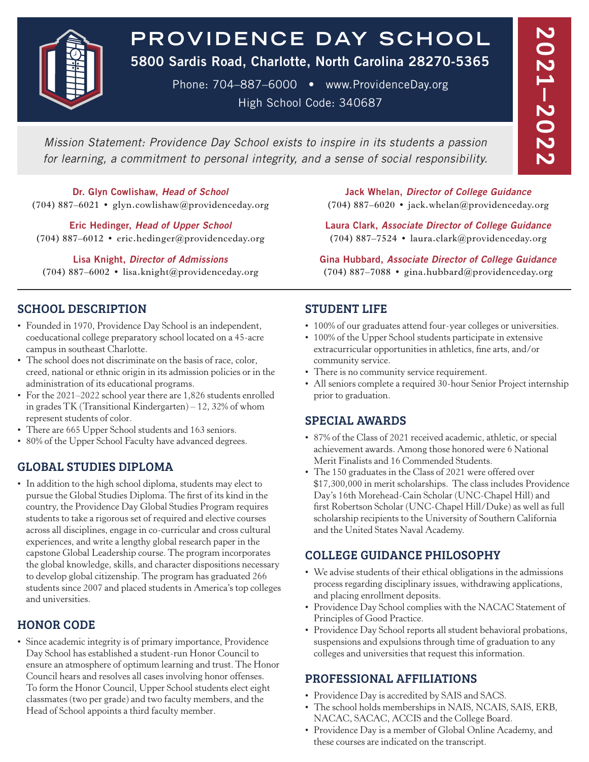

# **PROV IDENCE DAY SCHOOL**

5800 Sardis Road, Charlotte, North Carolina 28270-5365

Phone: 704–887–6000 • www.ProvidenceDay.org High School Code: 340687

*Mission Statement: Providence Day School exists to inspire in its students a passion for learning, a commitment to personal integrity, and a sense of social responsibility.*

Dr. Glyn Cowlishaw, *Head of School* (704) 887–6021 • glyn.cowlishaw@providenceday.org

Eric Hedinger, *Head of Upper School* (704) 887–6012 • eric.hedinger@providenceday.org

Lisa Knight, *Director of Admissions* (704) 887–6002 • lisa.knight@providenceday.org

## SCHOOL DESCRIPTION

- Founded in 1970, Providence Day School is an independent, coeducational college preparatory school located on a 45-acre campus in southeast Charlotte.
- The school does not discriminate on the basis of race, color, creed, national or ethnic origin in its admission policies or in the administration of its educational programs.
- For the 2021–2022 school year there are 1,826 students enrolled in grades TK (Transitional Kindergarten) – 12, 32% of whom represent students of color.
- There are 665 Upper School students and 163 seniors.
- 80% of the Upper School Faculty have advanced degrees.

## GLOBAL STUDIES DIPLOMA

• In addition to the high school diploma, students may elect to pursue the Global Studies Diploma. The first of its kind in the country, the Providence Day Global Studies Program requires students to take a rigorous set of required and elective courses across all disciplines, engage in co-curricular and cross cultural experiences, and write a lengthy global research paper in the capstone Global Leadership course. The program incorporates the global knowledge, skills, and character dispositions necessary to develop global citizenship. The program has graduated 266 students since 2007 and placed students in America's top colleges and universities.

## HONOR CODE

• Since academic integrity is of primary importance, Providence Day School has established a student-run Honor Council to ensure an atmosphere of optimum learning and trust. The Honor Council hears and resolves all cases involving honor offenses. To form the Honor Council, Upper School students elect eight classmates (two per grade) and two faculty members, and the Head of School appoints a third faculty member.

Jack Whelan, *Director of College Guidance* (704) 887–6020 • jack.whelan@providenceday.org

Laura Clark, *Associate Director of College Guidance* (704) 887–7524 • laura.clark@providenceday.org

Gina Hubbard, *Associate Director of College Guidance* (704) 887–7088 • gina.hubbard@providenceday.org

## STUDENT LIFE

- 100% of our graduates attend four-year colleges or universities.
- 100% of the Upper School students participate in extensive extracurricular opportunities in athletics, fine arts, and/or community service.
- There is no community service requirement.
- All seniors complete a required 30-hour Senior Project internship prior to graduation.

## SPECIAL AWARDS

- 87% of the Class of 2021 received academic, athletic, or special achievement awards. Among those honored were 6 National Merit Finalists and 16 Commended Students.
- The 150 graduates in the Class of 2021 were offered over \$17,300,000 in merit scholarships. The class includes Providence Day's 16th Morehead-Cain Scholar (UNC-Chapel Hill) and first Robertson Scholar (UNC-Chapel Hill/Duke) as well as full scholarship recipients to the University of Southern California and the United States Naval Academy.

## COLLEGE GUIDANCE PHILOSOPHY

- We advise students of their ethical obligations in the admissions process regarding disciplinary issues, withdrawing applications, and placing enrollment deposits.
- Providence Day School complies with the NACAC Statement of Principles of Good Practice.
- Providence Day School reports all student behavioral probations, suspensions and expulsions through time of graduation to any colleges and universities that request this information.

## PROFESSIONAL AFFILIATIONS

- Providence Day is accredited by SAIS and SACS.
- The school holds memberships in NAIS, NCAIS, SAIS, ERB, NACAC, SACAC, ACCIS and the College Board.
- Providence Day is a member of Global Online Academy, and these courses are indicated on the transcript.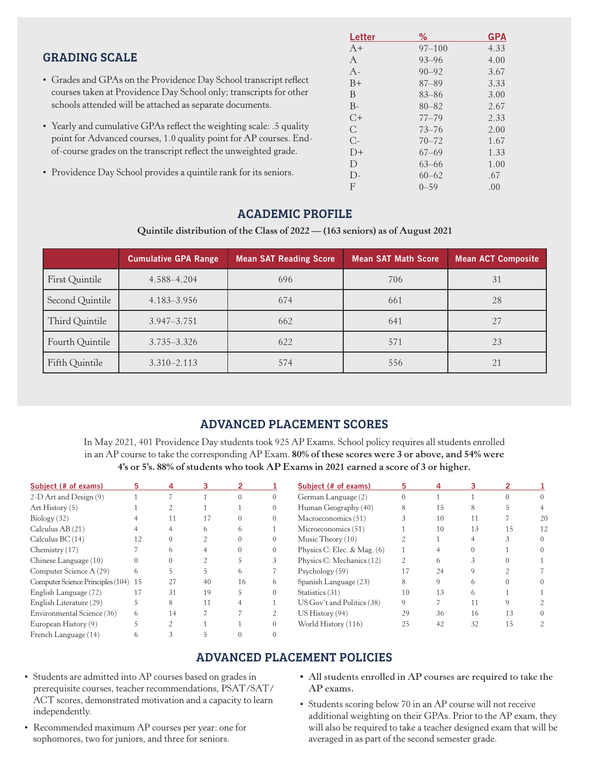|                                                                      | Letter      | ℅          | <b>GPA</b> |
|----------------------------------------------------------------------|-------------|------------|------------|
|                                                                      | $A+$        | $97 - 100$ | 4.33       |
| <b>GRADING SCALE</b>                                                 | A           | $93 - 96$  | 4.00       |
|                                                                      | $A -$       | $90 - 92$  | 3.67       |
| • Grades and GPAs on the Providence Day School transcript reflect    | $B+$        | $87 - 89$  | 3.33       |
| courses taken at Providence Day School only; transcripts for other   | B           | $83 - 86$  | 3.00       |
| schools attended will be attached as separate documents.             | $B -$       | $80 - 82$  | 2.67       |
|                                                                      | $C+$        | $77 - 79$  | 2.33       |
| • Yearly and cumulative GPAs reflect the weighting scale: .5 quality | C           | $73 - 76$  | 2.00       |
| point for Advanced courses, 1.0 quality point for AP courses. End-   | $C_{\cdot}$ | $70 - 72$  | 1.67       |
| of-course grades on the transcript reflect the unweighted grade.     | $D+$        | $67 - 69$  | 1.33       |
|                                                                      | D           | $63 - 66$  | 1.00       |
| • Providence Day School provides a quintile rank for its seniors.    | $D-$        | $60 - 62$  | .67        |

## ACADEMIC PROFILE

### **Quintile distribution of the Class of 2022 — (163 seniors) as of August 2021**

|                 | <b>Cumulative GPA Range</b> | <b>Mean SAT Reading Score</b> | <b>Mean SAT Math Score</b> | <b>Mean ACT Composite</b> |
|-----------------|-----------------------------|-------------------------------|----------------------------|---------------------------|
| First Quintile  | 4.588-4.204                 | 696                           | 706                        | 31                        |
| Second Quintile | 4.183–3.956                 | 674                           | 661                        | 28                        |
| Third Quintile  | 3.947-3.751                 | 662                           | 641                        | 27                        |
| Fourth Quintile | $3.735 - 3.326$             | 622                           | 571                        | 23                        |
| Fifth Quintile  | $3.310 - 2.113$             | 574                           | 556                        | 21                        |

## ADVANCED PLACEMENT SCORES

In May 2021, 401 Providence Day students took 925 AP Exams. School policy requires all students enrolled in an AP course to take the corresponding AP Exam. **80% of these scores were 3 or above, and 54% were 4's or 5's. 88% of students who took AP Exams in 2021 earned a score of 3 or higher.**

| Subject (# of exams)                 | 5  | 4        |    |    |   | Subject (# of exams)                 | 5.             |    |    |    |          |
|--------------------------------------|----|----------|----|----|---|--------------------------------------|----------------|----|----|----|----------|
| 2-D Art and Design (9)               |    |          |    |    |   | German Language (2)                  | 0              |    |    |    |          |
| Art History $(5)$                    |    |          |    |    |   | Human Geography (40)                 | 8              | 15 |    |    |          |
| Biology (32)                         |    | $\perp$  |    |    |   | Macroeconomics (51)                  |                | 10 | 11 |    | 20       |
| Calculus $AB(21)$                    |    |          | h. | h. |   | Microeconomics (51)                  |                | 10 | 13 | 15 | 12       |
| Calculus $BC(14)$                    | 12 | $\theta$ |    |    |   | Music Theory (10)                    |                |    |    |    | $\Omega$ |
| Chemistry $(17)$                     |    | h.       |    |    |   | Physics C: Elec. $& \text{Mag.}$ (6) |                |    |    |    |          |
| Chinese Language (10)                |    |          |    |    |   | Physics C: Mechanics (12)            | $\overline{c}$ | h  |    |    |          |
| Computer Science A (29)              | 6  |          |    | 6  |   | Psychology (59)                      | 17             | 24 |    |    |          |
| Computer Science Principles (104) 15 |    | 27       | 40 | 16 | 6 | Spanish Language (23)                | 8              | 9  | h. |    |          |
| English Language (72)                |    | 31       | 19 |    |   | Statistics (31)                      | 10             | 13 | h. |    |          |
| English Literature (29)              | b. | 8        | 11 | 4  |   | US Gov't and Politics (38)           | 9              |    | 11 |    |          |
| Environmental Science (36)           | 6  | 14       |    |    |   | US Historv(94)                       | 29             | 36 | 16 | 13 |          |
| European History (9)                 |    |          |    |    |   | World History (116)                  | 25             | 42 | 32 | 15 |          |
| French Language (14)                 |    |          |    |    |   |                                      |                |    |    |    |          |

## ADVANCED PLACEMENT POLICIES

- Students are admitted into AP courses based on grades in prerequisite courses, teacher recommendations, PSAT/SAT/ ACT scores, demonstrated motivation and a capacity to learn independently.
- Recommended maximum AP courses per year: one for sophomores, two for juniors, and three for seniors.
- All students enrolled in AP courses are required to take the AP exams.

F  $0-59$  .00

• Students scoring below 70 in an AP course will not receive additional weighting on their GPAs. Prior to the AP exam, they will also be required to take a teacher designed exam that will be averaged in as part of the second semester grade.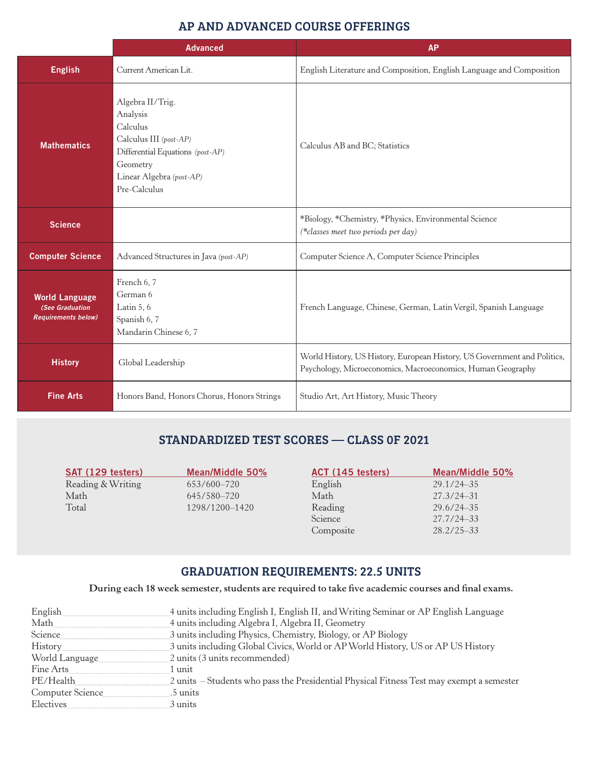## AP AND ADVANCED COURSE OFFERINGS

|                                                                        | <b>Advanced</b>                                                                                                                                                | <b>AP</b>                                                                                                                               |
|------------------------------------------------------------------------|----------------------------------------------------------------------------------------------------------------------------------------------------------------|-----------------------------------------------------------------------------------------------------------------------------------------|
| <b>English</b>                                                         | Current American Lit.                                                                                                                                          | English Literature and Composition, English Language and Composition                                                                    |
| <b>Mathematics</b>                                                     | Algebra II/Trig.<br>Analysis<br>Calculus<br>Calculus III (post-AP)<br>Differential Equations (post-AP)<br>Geometry<br>Linear Algebra (post-AP)<br>Pre-Calculus | Calculus AB and BC; Statistics                                                                                                          |
| <b>Science</b>                                                         |                                                                                                                                                                | *Biology, *Chemistry, *Physics, Environmental Science<br>(*classes meet two periods per day)                                            |
| <b>Computer Science</b>                                                | Advanced Structures in Java (post-AP)                                                                                                                          | Computer Science A, Computer Science Principles                                                                                         |
| <b>World Language</b><br>(See Graduation<br><b>Requirements below)</b> | French 6, 7<br>German 6<br>Latin $5, 6$<br>Spanish 6, 7<br>Mandarin Chinese 6, 7                                                                               | French Language, Chinese, German, Latin Vergil, Spanish Language                                                                        |
| <b>History</b>                                                         | Global Leadership                                                                                                                                              | World History, US History, European History, US Government and Politics,<br>Psychology, Microeconomics, Macroeconomics, Human Geography |
| <b>Fine Arts</b>                                                       | Honors Band, Honors Chorus, Honors Strings                                                                                                                     | Studio Art, Art History, Music Theory                                                                                                   |

## STANDARDIZED TEST SCORES — CLASS 0F 2021

| SAT (129 testers) | Mean/Middle 50% | ACT (145 testers) | Mean/Middle 50% |
|-------------------|-----------------|-------------------|-----------------|
| Reading & Writing | 653/600-720     | English           | $29.1/24 - 35$  |
| Math              | 645/580-720     | Math              | $27.3/24 - 31$  |
| Total             | 1298/1200-1420  | Reading           | $29.6/24 - 35$  |
|                   |                 | Science           | 27.7/24-33      |
|                   |                 | Composite         | $28.2/25 - 33$  |

## GRADUATION REQUIREMENTS: 22.5 UNITS

## **During each 18 week semester, students are required to take five academic courses and final exams.**

| English          | 4 units including English I, English II, and Writing Seminar or AP English Language      |
|------------------|------------------------------------------------------------------------------------------|
| Math             | 4 units including Algebra I, Algebra II, Geometry                                        |
| Science          | 3 units including Physics, Chemistry, Biology, or AP Biology                             |
| History          | 3 units including Global Civics, World or AP World History, US or AP US History          |
| World Language   | 2 units (3 units recommended)                                                            |
| Fine Arts        | 1 unit                                                                                   |
| PE/Health        | 2 units – Students who pass the Presidential Physical Fitness Test may exempt a semester |
| Computer Science | .5 units                                                                                 |
| Electives        | 3 units                                                                                  |